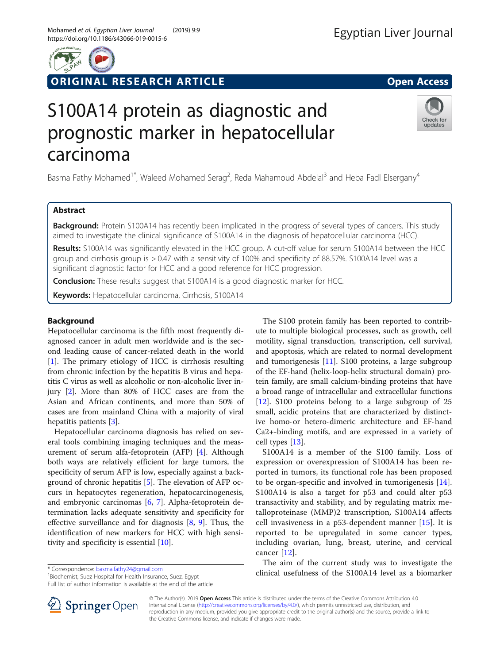# ORIGINAL RESEARCH ARTICLE **External of the Contract Open Access**

# S100A14 protein as diagnostic and prognostic marker in hepatocellular carcinoma

Basma Fathy Mohamed<sup>1\*</sup>, Waleed Mohamed Serag<sup>2</sup>, Reda Mahamoud Abdelal<sup>3</sup> and Heba Fadl Elsergany<sup>4</sup>

# Abstract

**Background:** Protein S100A14 has recently been implicated in the progress of several types of cancers. This study aimed to investigate the clinical significance of S100A14 in the diagnosis of hepatocellular carcinoma (HCC).

Results: S100A14 was significantly elevated in the HCC group. A cut-off value for serum S100A14 between the HCC group and cirrhosis group is > 0.47 with a sensitivity of 100% and specificity of 88.57%. S100A14 level was a significant diagnostic factor for HCC and a good reference for HCC progression.

**Conclusion:** These results suggest that S100A14 is a good diagnostic marker for HCC.

Keywords: Hepatocellular carcinoma, Cirrhosis, S100A14

# Background

Hepatocellular carcinoma is the fifth most frequently diagnosed cancer in adult men worldwide and is the second leading cause of cancer-related death in the world [[1\]](#page-4-0). The primary etiology of HCC is cirrhosis resulting from chronic infection by the hepatitis B virus and hepatitis C virus as well as alcoholic or non-alcoholic liver injury [[2\]](#page-4-0). More than 80% of HCC cases are from the Asian and African continents, and more than 50% of cases are from mainland China with a majority of viral hepatitis patients [\[3](#page-4-0)].

Hepatocellular carcinoma diagnosis has relied on several tools combining imaging techniques and the measurement of serum alfa-fetoprotein (AFP) [\[4](#page-4-0)]. Although both ways are relatively efficient for large tumors, the specificity of serum AFP is low, especially against a background of chronic hepatitis [\[5](#page-4-0)]. The elevation of AFP occurs in hepatocytes regeneration, hepatocarcinogenesis, and embryonic carcinomas [[6,](#page-4-0) [7](#page-4-0)]. Alpha-fetoprotein determination lacks adequate sensitivity and specificity for effective surveillance and for diagnosis [\[8](#page-4-0), [9](#page-5-0)]. Thus, the identification of new markers for HCC with high sensitivity and specificity is essential [\[10\]](#page-5-0).

\* Correspondence: [basma.fathy24@gmail.com](mailto:basma.fathy24@gmail.com) <sup>1</sup>

<sup>1</sup> Biochemist, Suez Hospital for Health Insurance, Suez, Egypt Full list of author information is available at the end of the article

© The Author(s). 2019 Open Access This article is distributed under the terms of the Creative Commons Attribution 4.0 International License ([http://creativecommons.org/licenses/by/4.0/\)](http://creativecommons.org/licenses/by/4.0/), which permits unrestricted use, distribution, and reproduction in any medium, provided you give appropriate credit to the original author(s) and the source, provide a link to the Creative Commons license, and indicate if changes were made.

The S100 protein family has been reported to contribute to multiple biological processes, such as growth, cell motility, signal transduction, transcription, cell survival, and apoptosis, which are related to normal development and tumorigenesis [\[11](#page-5-0)]. S100 proteins, a large subgroup of the EF-hand (helix-loop-helix structural domain) protein family, are small calcium-binding proteins that have a broad range of intracellular and extracellular functions [[12\]](#page-5-0). S100 proteins belong to a large subgroup of 25 small, acidic proteins that are characterized by distinctive homo-or hetero-dimeric architecture and EF-hand Ca2+-binding motifs, and are expressed in a variety of cell types [[13](#page-5-0)].

S100A14 is a member of the S100 family. Loss of expression or overexpression of S100A14 has been reported in tumors, its functional role has been proposed to be organ-specific and involved in tumorigenesis [\[14](#page-5-0)]. S100A14 is also a target for p53 and could alter p53 transactivity and stability, and by regulating matrix metalloproteinase (MMP)2 transcription, S100A14 affects cell invasiveness in a p53-dependent manner [[15\]](#page-5-0). It is reported to be upregulated in some cancer types, including ovarian, lung, breast, uterine, and cervical cancer [\[12](#page-5-0)].

The aim of the current study was to investigate the clinical usefulness of the S100A14 level as a biomarker





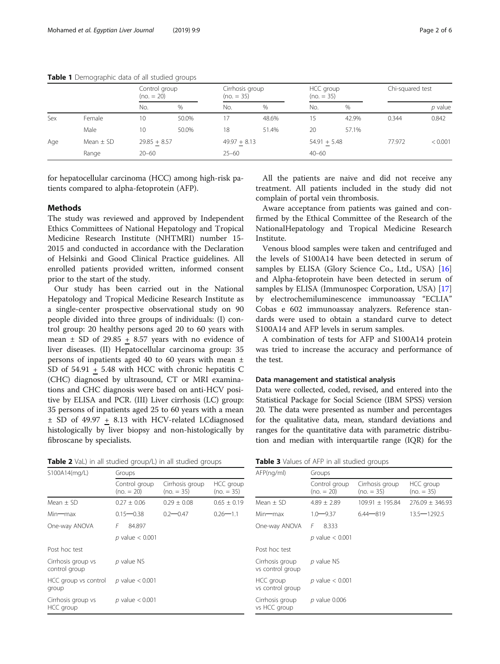#### <span id="page-1-0"></span>Table 1 Demographic data of all studied groups

|     |               | Control group<br>$(no. = 20)$ |       | Cirrhosis group<br>$(no = 35)$ |       | HCC group<br>$(no = 35)$ |       | Chi-squared test |         |
|-----|---------------|-------------------------------|-------|--------------------------------|-------|--------------------------|-------|------------------|---------|
|     |               | No.                           | $\%$  | No.                            | $\%$  | No.                      | %     |                  | p value |
| Sex | Female        | 10                            | 50.0% | 17                             | 48.6% | 15                       | 42.9% | 0.344            | 0.842   |
|     | Male          | 10                            | 50.0% | 18                             | 51.4% | 20                       | 57.1% |                  |         |
| Age | Mean $\pm$ SD | $29.85 + 8.57$                |       | $49.97 + 8.13$                 |       | $54.91 + 5.48$           |       | 77.972           | < 0.001 |
|     | Range         | $20 - 60$                     |       | $25 - 60$                      |       | $40 - 60$                |       |                  |         |

for hepatocellular carcinoma (HCC) among high-risk patients compared to alpha-fetoprotein (AFP).

#### Methods

The study was reviewed and approved by Independent Ethics Committees of National Hepatology and Tropical Medicine Research Institute (NHTMRI) number 15- 2015 and conducted in accordance with the Declaration of Helsinki and Good Clinical Practice guidelines. All enrolled patients provided written, informed consent prior to the start of the study.

Our study has been carried out in the National Hepatology and Tropical Medicine Research Institute as a single-center prospective observational study on 90 people divided into three groups of individuals: (I) control group: 20 healthy persons aged 20 to 60 years with mean  $\pm$  SD of 29.85 + 8.57 years with no evidence of liver diseases. (II) Hepatocellular carcinoma group: 35 persons of inpatients aged 40 to 60 years with mean ± SD of 54.91 + 5.48 with HCC with chronic hepatitis C (CHC) diagnosed by ultrasound, CT or MRI examinations and CHC diagnosis were based on anti-HCV positive by ELISA and PCR. (III) Liver cirrhosis (LC) group: 35 persons of inpatients aged 25 to 60 years with a mean ± SD of 49.97 + 8.13 with HCV-related LCdiagnosed histologically by liver biopsy and non-histologically by fibroscane by specialists.

Table 2 VaL) in all studied group/L) in all studied groups

| S100A14(mg/L)                       | Groups                        |                                |                           |
|-------------------------------------|-------------------------------|--------------------------------|---------------------------|
|                                     | Control group<br>$(no. = 20)$ | Cirrhosis group<br>$(no = 35)$ | HCC group<br>$(no. = 35)$ |
| $Mean + SD$                         | $0.27 + 0.06$                 | $0.29 + 0.08$                  | $0.65 \pm 0.19$           |
| Min—max                             | $0.15 - 0.38$                 | $0.2 - 0.47$                   | $0.26 - 1.1$              |
| One-way ANOVA                       | F<br>84.897                   |                                |                           |
|                                     | $p$ value $< 0.001$           |                                |                           |
| Post hoc test                       |                               |                                |                           |
| Cirrhosis group vs<br>control group | p value NS                    |                                |                           |
| HCC group vs control<br>group       | $p$ value $< 0.001$           |                                |                           |
| Cirrhosis group vs<br>HCC group     | $p$ value $< 0.001$           |                                |                           |

All the patients are naive and did not receive any treatment. All patients included in the study did not complain of portal vein thrombosis.

Aware acceptance from patients was gained and confirmed by the Ethical Committee of the Research of the NationalHepatology and Tropical Medicine Research Institute.

Venous blood samples were taken and centrifuged and the levels of S100A14 have been detected in serum of samples by ELISA (Glory Science Co., Ltd., USA) [[16](#page-5-0)] and Alpha-fetoprotein have been detected in serum of samples by ELISA (Immunospec Corporation, USA) [[17](#page-5-0)] by electrochemiluminescence immunoassay "ECLIA" Cobas e 602 immunoassay analyzers. Reference standards were used to obtain a standard curve to detect S100A14 and AFP levels in serum samples.

A combination of tests for AFP and S100A14 protein was tried to increase the accuracy and performance of the test.

#### Data management and statistical analysis

Data were collected, coded, revised, and entered into the Statistical Package for Social Science (IBM SPSS) version 20. The data were presented as number and percentages for the qualitative data, mean, standard deviations and ranges for the quantitative data with parametric distribution and median with interquartile range (IQR) for the

| Table 3 Values of AFP in all studied groups |  |
|---------------------------------------------|--|
|---------------------------------------------|--|

| AFP(nq/ml)                          | Groups                        |                                 |                           |  |  |  |
|-------------------------------------|-------------------------------|---------------------------------|---------------------------|--|--|--|
|                                     | Control group<br>$(no. = 20)$ | Cirrhosis group<br>$(no. = 35)$ | HCC group<br>$(no. = 35)$ |  |  |  |
| $Mean + SD$                         | $4.89 + 2.89$                 | $109.91 + 195.84$               | $276.09 + 346.93$         |  |  |  |
| Min—max                             | $1.0 - 9.37$                  | $6.44 - 819$                    | $13.5 - 1292.5$           |  |  |  |
| One-way ANOVA                       | F<br>8.333                    |                                 |                           |  |  |  |
|                                     | $p$ value $< 0.001$           |                                 |                           |  |  |  |
| Post hoc test                       |                               |                                 |                           |  |  |  |
| Cirrhosis group<br>vs control group | $p$ value NS                  |                                 |                           |  |  |  |
| HCC group<br>vs control group       | $p$ value $< 0.001$           |                                 |                           |  |  |  |
| Cirrhosis group<br>vs HCC group     | p value 0.006                 |                                 |                           |  |  |  |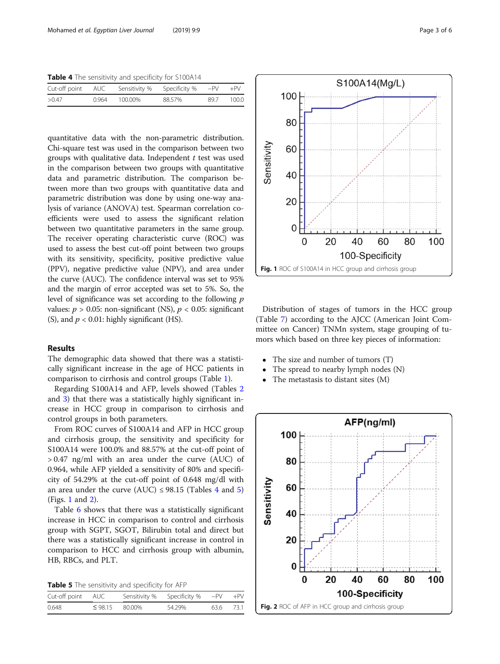Table 4 The sensitivity and specificity for S100A14

|       |       |         | Cut-off point AUC Sensitivity % Specificity % -PV +PV |      |       |
|-------|-------|---------|-------------------------------------------------------|------|-------|
| >0.47 | 0.964 | 100.00% | 88.57%                                                | 89.7 | 100.0 |

quantitative data with the non-parametric distribution. Chi-square test was used in the comparison between two groups with qualitative data. Independent  $t$  test was used in the comparison between two groups with quantitative data and parametric distribution. The comparison between more than two groups with quantitative data and parametric distribution was done by using one-way analysis of variance (ANOVA) test. Spearman correlation coefficients were used to assess the significant relation between two quantitative parameters in the same group. The receiver operating characteristic curve (ROC) was used to assess the best cut-off point between two groups with its sensitivity, specificity, positive predictive value (PPV), negative predictive value (NPV), and area under the curve (AUC). The confidence interval was set to 95% and the margin of error accepted was set to 5%. So, the level of significance was set according to the following  $p$ values:  $p > 0.05$ : non-significant (NS),  $p < 0.05$ : significant (S), and  $p < 0.01$ : highly significant (HS).

# Results

The demographic data showed that there was a statistically significant increase in the age of HCC patients in comparison to cirrhosis and control groups (Table [1\)](#page-1-0).

Regarding S100A14 and AFP, levels showed (Tables [2](#page-1-0) and [3](#page-1-0)) that there was a statistically highly significant increase in HCC group in comparison to cirrhosis and control groups in both parameters.

From ROC curves of S100A14 and AFP in HCC group and cirrhosis group, the sensitivity and specificity for S100A14 were 100.0% and 88.57% at the cut-off point of > 0.47 ng/ml with an area under the curve (AUC) of 0.964, while AFP yielded a sensitivity of 80% and specificity of 54.29% at the cut-off point of 0.648 mg/dl with an area under the curve (AUC)  $\leq$  98.15 (Tables 4 and 5) (Figs. 1 and 2).

Table [6](#page-3-0) shows that there was a statistically significant increase in HCC in comparison to control and cirrhosis group with SGPT, SGOT, Bilirubin total and direct but there was a statistically significant increase in control in comparison to HCC and cirrhosis group with albumin, HB, RBCs, and PLT.

| Table 5 The sensitivity and specificity for AFP |  |  |  |  |
|-------------------------------------------------|--|--|--|--|
|-------------------------------------------------|--|--|--|--|

| Cut-off point AUC |                     | Sensitivity % Specificity % $-PV + PV$ |           |  |
|-------------------|---------------------|----------------------------------------|-----------|--|
| 0.648             | $\leq$ 98.15 80.00% | 54.29%                                 | 63.6 73.1 |  |



Distribution of stages of tumors in the HCC group (Table [7](#page-3-0)) according to the AJCC (American Joint Committee on Cancer) TNMn system, stage grouping of tumors which based on three key pieces of information:

- The size and number of tumors (T)
- The spread to nearby lymph nodes (N)
- The metastasis to distant sites (M)

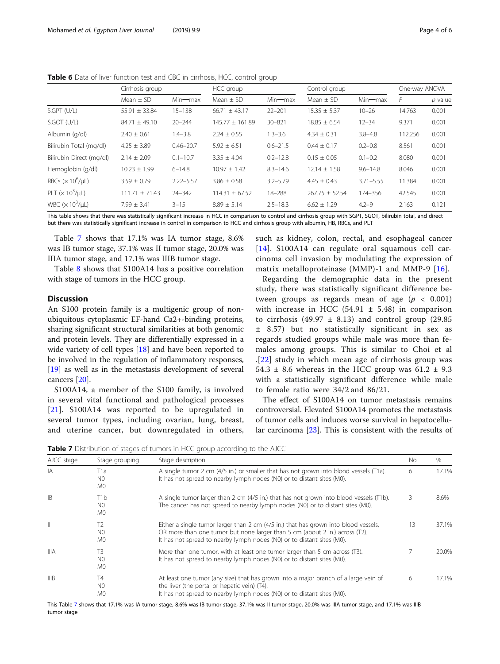<span id="page-3-0"></span>Table 6 Data of liver function test and CBC in cirrhosis, HCC, control group

|                               | Cirrhosis group    |               | HCC group           |               | Control group      |               | One-way ANOVA |         |
|-------------------------------|--------------------|---------------|---------------------|---------------|--------------------|---------------|---------------|---------|
|                               | Mean $\pm$ SD      | $Min$ — $max$ | Mean $\pm$ SD       | $Min$ — $max$ | Mean $\pm$ SD      | Min-max       | F             | p value |
| S.GPT (U/L)                   | $55.91 \pm 33.84$  | $15 - 138$    | $66.71 \pm 43.17$   | $22 - 201$    | $15.35 \pm 5.37$   | $10 - 26$     | 14.763        | 0.001   |
| S.GOT (U/L)                   | $84.71 \pm 49.10$  | $20 - 244$    | $145.77 \pm 161.89$ | $30 - 821$    | $18.85 \pm 6.54$   | $12 - 34$     | 9.371         | 0.001   |
| Albumin (q/dl)                | $2.40 \pm 0.61$    | $1.4 - 3.8$   | $2.24 \pm 0.55$     | $1.3 - 3.6$   | $4.34 \pm 0.31$    | $3.8 - 4.8$   | 112.256       | 0.001   |
| Bilirubin Total (mg/dl)       | $4.25 \pm 3.89$    | $0.46 - 20.7$ | $5.92 \pm 6.51$     | $0.6 - 21.5$  | $0.44 \pm 0.17$    | $0.2 - 0.8$   | 8.561         | 0.001   |
| Bilirubin Direct (mg/dl)      | $2.14 \pm 2.09$    | $0.1 - 10.7$  | $3.35 \pm 4.04$     | $0.2 - 12.8$  | $0.15 \pm 0.05$    | $0.1 - 0.2$   | 8.080         | 0.001   |
| Hemoglobin (g/dl)             | $10.23 \pm 1.99$   | $6 - 14.8$    | $10.97 \pm 1.42$    | $8.3 - 14.6$  | $12.14 \pm 1.58$   | $9.6 - 14.8$  | 8.046         | 0.001   |
| RBCs $(\times 10^6/\mu L)$    | $3.59 \pm 0.79$    | $2.22 - 5.57$ | $3.86 \pm 0.58$     | $3.2 - 5.79$  | $4.45 \pm 0.43$    | $3.71 - 5.55$ | 11.384        | 0.001   |
| PLT $(\times 10^3/\mu L)$     | $111.71 \pm 71.43$ | $24 - 342$    | $114.31 \pm 67.52$  | $18 - 288$    | $267.75 \pm 52.54$ | 174-356       | 42.545        | 0.001   |
| WBC $(\times 10^3/\text{ul})$ | $7.99 \pm 3.41$    | $3 - 15$      | $8.89 \pm 5.14$     | $2.5 - 18.3$  | $6.62 \pm 1.29$    | $4.2 - 9$     | 2.163         | 0.121   |

This table shows that there was statistically significant increase in HCC in comparison to control and cirrhosis group with SGPT, SGOT, bilirubin total, and direct but there was statistically significant increase in control in comparison to HCC and cirrhosis group with albumin, HB, RBCs, and PLT

Table 7 shows that 17.1% was IA tumor stage, 8.6% was IB tumor stage, 37.1% was II tumor stage, 20.0% was IIIA tumor stage, and 17.1% was IIIB tumor stage.

Table [8](#page-4-0) shows that S100A14 has a positive correlation with stage of tumors in the HCC group.

# **Discussion**

An S100 protein family is a multigenic group of nonubiquitous cytoplasmic EF-hand Ca2+-binding proteins, sharing significant structural similarities at both genomic and protein levels. They are differentially expressed in a wide variety of cell types [\[18\]](#page-5-0) and have been reported to be involved in the regulation of inflammatory responses, [[19\]](#page-5-0) as well as in the metastasis development of several cancers [\[20](#page-5-0)].

S100A14, a member of the S100 family, is involved in several vital functional and pathological processes [[21](#page-5-0)]. S100A14 was reported to be upregulated in several tumor types, including ovarian, lung, breast, and uterine cancer, but downregulated in others,

such as kidney, colon, rectal, and esophageal cancer [[14](#page-5-0)]. S100A14 can regulate oral squamous cell carcinoma cell invasion by modulating the expression of matrix metalloproteinase (MMP)-1 and MMP-9 [[16](#page-5-0)].

Regarding the demographic data in the present study, there was statistically significant difference between groups as regards mean of age ( $p < 0.001$ ) with increase in HCC  $(54.91 \pm 5.48)$  in comparison to cirrhosis (49.97  $\pm$  8.13) and control group (29.85) ± 8.57) but no statistically significant in sex as regards studied groups while male was more than females among groups. This is similar to Choi et al .[\[22\]](#page-5-0) study in which mean age of cirrhosis group was 54.3  $\pm$  8.6 whereas in the HCC group was 61.2  $\pm$  9.3 with a statistically significant difference while male to female ratio were 34/2 and 86/21.

The effect of S100A14 on tumor metastasis remains controversial. Elevated S100A14 promotes the metastasis of tumor cells and induces worse survival in hepatocellular carcinoma [[23\]](#page-5-0). This is consistent with the results of

Table 7 Distribution of stages of tumors in HCC group according to the AJCC

| AJCC stage  | Stage grouping                         | Stage description                                                                                                                                                                                                                            | No. | $\%$  |
|-------------|----------------------------------------|----------------------------------------------------------------------------------------------------------------------------------------------------------------------------------------------------------------------------------------------|-----|-------|
| IA          | T1a<br>N <sub>0</sub><br>M0            | A single tumor 2 cm (4/5 in.) or smaller that has not grown into blood vessels (T1a).<br>It has not spread to nearby lymph nodes (N0) or to distant sites (M0).                                                                              | 6   | 17.1% |
| B           | T1b<br>N <sub>0</sub><br>M0            | A single tumor larger than 2 cm (4/5 in.) that has not grown into blood vessels (T1b).<br>The cancer has not spread to nearby lymph nodes (N0) or to distant sites (M0).                                                                     | 3   | 8.6%  |
| Ш           | T2<br>N <sub>0</sub><br>M <sub>0</sub> | Either a single tumor larger than 2 cm (4/5 in.) that has grown into blood vessels,<br>OR more than one tumor but none larger than 5 cm (about 2 in.) across (T2).<br>It has not spread to nearby lymph nodes (N0) or to distant sites (M0). | 13  | 37.1% |
| <b>IIIA</b> | T3<br>N <sub>0</sub><br>M0             | More than one tumor, with at least one tumor larger than 5 cm across (T3).<br>It has not spread to nearby lymph nodes (N0) or to distant sites (M0).                                                                                         |     | 20.0% |
| IIIB        | Τ4<br>N <sub>0</sub><br>M0             | At least one tumor (any size) that has grown into a major branch of a large vein of<br>the liver (the portal or hepatic vein) (T4).<br>It has not spread to nearby lymph nodes (N0) or to distant sites (M0).                                | 6   | 17.1% |

This Table 7 shows that 17.1% was IA tumor stage, 8.6% was IB tumor stage, 37.1% was II tumor stage, 20.0% was IIIA tumor stage, and 17.1% was IIIB tumor stage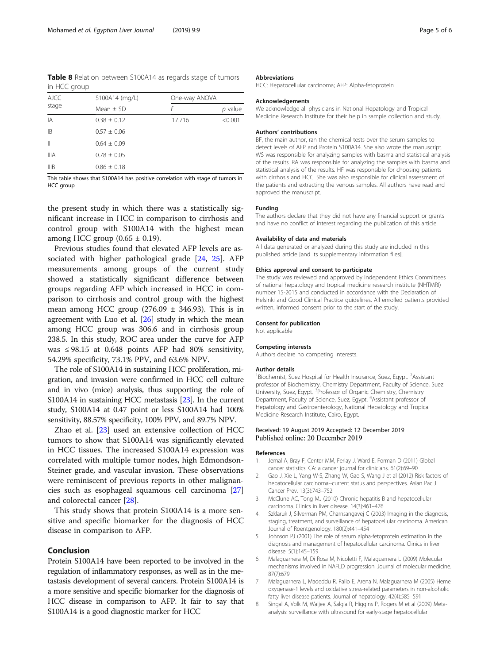<span id="page-4-0"></span>Table 8 Relation between S100A14 as regards stage of tumors in HCC group

| <b>AJCC</b><br>stage | S100A14 (mg/L)  | One-way ANOVA |           |
|----------------------|-----------------|---------------|-----------|
|                      | Mean $\pm$ SD   |               | $p$ value |
| IA                   | $0.38 \pm 0.12$ | 17.716        | < 0.001   |
| B                    | $0.57 \pm 0.06$ |               |           |
| $\parallel$          | $0.64 \pm 0.09$ |               |           |
| <b>IIIA</b>          | $0.78 \pm 0.05$ |               |           |
| IIIB                 | $0.86 \pm 0.18$ |               |           |

This table shows that S100A14 has positive correlation with stage of tumors in HCC group

the present study in which there was a statistically significant increase in HCC in comparison to cirrhosis and control group with S100A14 with the highest mean among HCC group  $(0.65 \pm 0.19)$ .

Previous studies found that elevated AFP levels are associated with higher pathological grade [\[24](#page-5-0), [25](#page-5-0)]. AFP measurements among groups of the current study showed a statistically significant difference between groups regarding AFP which increased in HCC in comparison to cirrhosis and control group with the highest mean among HCC group  $(276.09 \pm 346.93)$ . This is in agreement with Luo et al.  $[26]$  $[26]$  $[26]$  study in which the mean among HCC group was 306.6 and in cirrhosis group 238.5. In this study, ROC area under the curve for AFP was  $\leq$  98.15 at 0.648 points AFP had 80% sensitivity, 54.29% specificity, 73.1% PPV, and 63.6% NPV.

The role of S100A14 in sustaining HCC proliferation, migration, and invasion were confirmed in HCC cell culture and in vivo (mice) analysis, thus supporting the role of S100A14 in sustaining HCC metastasis [\[23\]](#page-5-0). In the current study, S100A14 at 0.47 point or less S100A14 had 100% sensitivity, 88.57% specificity, 100% PPV, and 89.7% NPV.

Zhao et al. [\[23\]](#page-5-0) used an extensive collection of HCC tumors to show that S100A14 was significantly elevated in HCC tissues. The increased S100A14 expression was correlated with multiple tumor nodes, high Edmondson-Steiner grade, and vascular invasion. These observations were reminiscent of previous reports in other malignancies such as esophageal squamous cell carcinoma [[27](#page-5-0)] and colorectal cancer [\[28\]](#page-5-0).

This study shows that protein S100A14 is a more sensitive and specific biomarker for the diagnosis of HCC disease in comparison to AFP.

# Conclusion

Protein S100A14 have been reported to be involved in the regulation of inflammatory responses, as well as in the metastasis development of several cancers. Protein S100A14 is a more sensitive and specific biomarker for the diagnosis of HCC disease in comparison to AFP. It fair to say that S100A14 is a good diagnostic marker for HCC

#### Abbreviations

HCC: Hepatocellular carcinoma; AFP: Alpha-fetoprotein

#### Acknowledgements

We acknowledge all physicians in National Hepatology and Tropical Medicine Research Institute for their help in sample collection and study.

#### Authors' contributions

BF, the main author, ran the chemical tests over the serum samples to detect levels of AFP and Protein S100A14. She also wrote the manuscript. WS was responsible for analyzing samples with basma and statistical analysis of the results. RA was responsible for analyzing the samples with basma and statistical analysis of the results. HF was responsible for choosing patients with cirrhosis and HCC. She was also responsible for clinical assessment of the patients and extracting the venous samples. All authors have read and approved the manuscript.

#### Funding

The authors declare that they did not have any financial support or grants and have no conflict of interest regarding the publication of this article.

#### Availability of data and materials

All data generated or analyzed during this study are included in this published article [and its supplementary information files].

#### Ethics approval and consent to participate

The study was reviewed and approved by Independent Ethics Committees of national hepatology and tropical medicine research institute (NHTMRI) number 15-2015 and conducted in accordance with the Declaration of Helsinki and Good Clinical Practice guidelines. All enrolled patients provided written, informed consent prior to the start of the study.

#### Consent for publication

Not applicable

#### Competing interests

Authors declare no competing interests.

#### Author details

<sup>1</sup>Biochemist, Suez Hospital for Health Insurance, Suez, Egypt. <sup>2</sup>Assistant professor of Biochemistry, Chemistry Department, Faculty of Science, Suez University, Suez, Egypt. <sup>3</sup>Professor of Organic Chemistry, Chemistry Department, Faculty of Science, Suez, Egypt. <sup>4</sup> Assistant professor of Hepatology and Gastroenterology, National Hepatology and Tropical Medicine Research Institute, Cairo, Egypt.

### Received: 19 August 2019 Accepted: 12 December 2019 Published online: 20 December 2019

#### References

- 1. Jemal A, Bray F, Center MM, Ferlay J, Ward E, Forman D (2011) Global cancer statistics. CA: a cancer journal for clinicians. 61(2):69–90
- 2. Gao J, Xie L, Yang W-S, Zhang W, Gao S, Wang J et al (2012) Risk factors of hepatocellular carcinoma--current status and perspectives. Asian Pac J Cancer Prev. 13(3):743–752
- 3. McClune AC, Tong MJ (2010) Chronic hepatitis B and hepatocellular carcinoma. Clinics in liver disease. 14(3):461–476
- 4. Szklaruk J, Silverman PM, Charnsangavej C (2003) Imaging in the diagnosis, staging, treatment, and surveillance of hepatocellular carcinoma. American Journal of Roentgenology. 180(2):441–454
- 5. Johnson PJ (2001) The role of serum alpha-fetoprotein estimation in the diagnosis and management of hepatocellular carcinoma. Clinics in liver disease. 5(1):145–159
- 6. Malaguarnera M, Di Rosa M, Nicoletti F, Malaguarnera L (2009) Molecular mechanisms involved in NAFLD progression. Journal of molecular medicine. 87(7):679
- 7. Malaguarnera L, Madeddu R, Palio E, Arena N, Malaguarnera M (2005) Heme oxygenase-1 levels and oxidative stress-related parameters in non-alcoholic fatty liver disease patients. Journal of hepatology. 42(4):585–591
- 8. Singal A, Volk M, Waljee A, Salgia R, Higgins P, Rogers M et al (2009) Metaanalysis: surveillance with ultrasound for early-stage hepatocellular